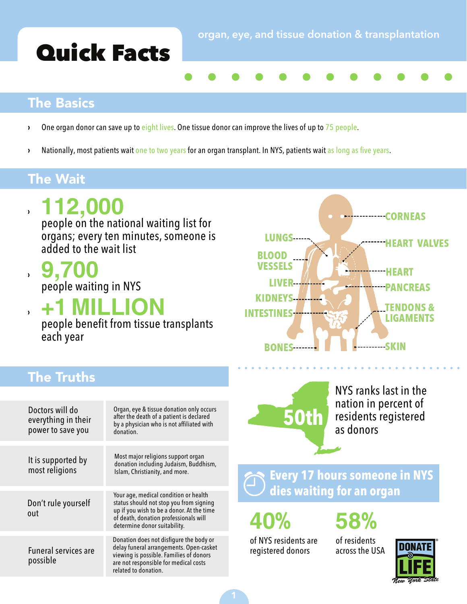# Quick Facts

### The Basics

- $\cdot$  One organ donor can save up to eight lives. One tissue donor can improve the lives of up to  $75$  people.
- <sup>></sup> Nationally, most patients wait one to two years for an organ transplant. In NYS, patients wait as long as five years.

### The Wait

› **112,000** 

people on the national waiting list for organs; every ten minutes, someone is added to the wait list

› **9,700** people waiting in NYS

› **+1 MILLION**

people benefit from tissue transplants each year



### The Truths

| Doctors will do<br>everything in their<br>power to save you | Organ, eye & tissue donation only occurs<br>after the death of a patient is declared<br>by a physician who is not affiliated with<br>donation.                                                         |
|-------------------------------------------------------------|--------------------------------------------------------------------------------------------------------------------------------------------------------------------------------------------------------|
| It is supported by<br>most religions                        | Most major religions support organ<br>donation including Judaism, Buddhism,<br>Islam, Christianity, and more.                                                                                          |
| Don't rule yourself<br>out                                  | Your age, medical condition or health<br>status should not stop you from signing<br>up if you wish to be a donor. At the time<br>of death, donation professionals will<br>determine donor suitability. |
| <b>Funeral services are</b><br>possible                     | Donation does not disfigure the body or<br>delay funeral arrangements. Open-casket<br>viewing is possible. Families of donors<br>are not responsible for medical costs<br>related to donation.         |



NYS ranks last in the nation in percent of residents registered as donors

**Every 17 hours someone in NYS dies waiting for an organ**

**40% 58%**

of NYS residents are registered donors

of residents across the USA